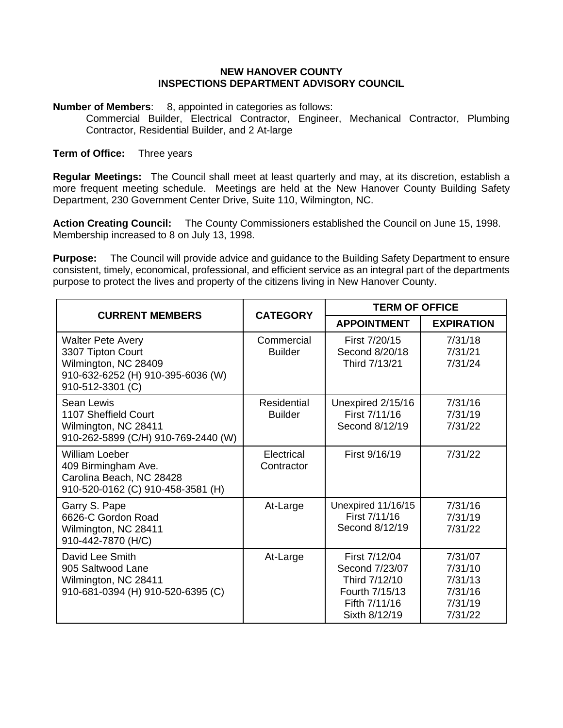## **NEW HANOVER COUNTY INSPECTIONS DEPARTMENT ADVISORY COUNCIL**

**Number of Members:** 8, appointed in categories as follows:

Commercial Builder, Electrical Contractor, Engineer, Mechanical Contractor, Plumbing Contractor, Residential Builder, and 2 At-large

## **Term of Office:** Three years

**Regular Meetings:** The Council shall meet at least quarterly and may, at its discretion, establish a more frequent meeting schedule. Meetings are held at the New Hanover County Building Safety Department, 230 Government Center Drive, Suite 110, Wilmington, NC.

**Action Creating Council:** The County Commissioners established the Council on June 15, 1998. Membership increased to 8 on July 13, 1998.

**Purpose:** The Council will provide advice and guidance to the Building Safety Department to ensure consistent, timely, economical, professional, and efficient service as an integral part of the departments purpose to protect the lives and property of the citizens living in New Hanover County.

| <b>CURRENT MEMBERS</b>                                                                                                         | <b>CATEGORY</b>               | <b>TERM OF OFFICE</b>                                                                                |                                                                |
|--------------------------------------------------------------------------------------------------------------------------------|-------------------------------|------------------------------------------------------------------------------------------------------|----------------------------------------------------------------|
|                                                                                                                                |                               | <b>APPOINTMENT</b>                                                                                   | <b>EXPIRATION</b>                                              |
| <b>Walter Pete Avery</b><br>3307 Tipton Court<br>Wilmington, NC 28409<br>910-632-6252 (H) 910-395-6036 (W)<br>910-512-3301 (C) | Commercial<br><b>Builder</b>  | First 7/20/15<br>Second 8/20/18<br>Third 7/13/21                                                     | 7/31/18<br>7/31/21<br>7/31/24                                  |
| Sean Lewis<br>1107 Sheffield Court<br>Wilmington, NC 28411<br>910-262-5899 (C/H) 910-769-2440 (W)                              | Residential<br><b>Builder</b> | Unexpired 2/15/16<br>First 7/11/16<br>Second 8/12/19                                                 | 7/31/16<br>7/31/19<br>7/31/22                                  |
| <b>William Loeber</b><br>409 Birmingham Ave.<br>Carolina Beach, NC 28428<br>910-520-0162 (C) 910-458-3581 (H)                  | Electrical<br>Contractor      | First 9/16/19                                                                                        | 7/31/22                                                        |
| Garry S. Pape<br>6626-C Gordon Road<br>Wilmington, NC 28411<br>910-442-7870 (H/C)                                              | At-Large                      | Unexpired 11/16/15<br>First 7/11/16<br>Second 8/12/19                                                | 7/31/16<br>7/31/19<br>7/31/22                                  |
| David Lee Smith<br>905 Saltwood Lane<br>Wilmington, NC 28411<br>910-681-0394 (H) 910-520-6395 (C)                              | At-Large                      | First 7/12/04<br>Second 7/23/07<br>Third 7/12/10<br>Fourth 7/15/13<br>Fifth 7/11/16<br>Sixth 8/12/19 | 7/31/07<br>7/31/10<br>7/31/13<br>7/31/16<br>7/31/19<br>7/31/22 |